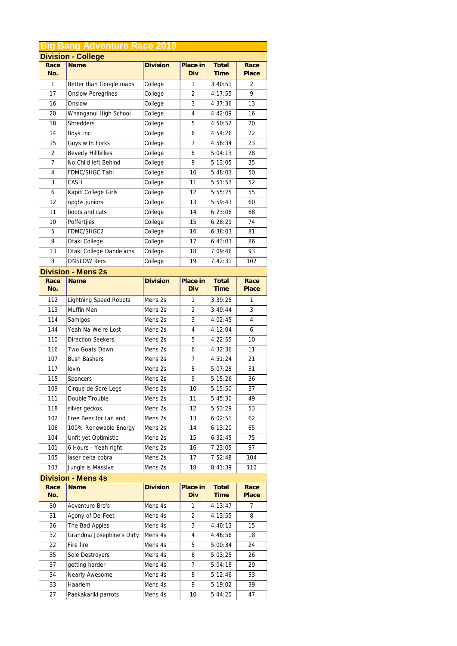|                | <b>Big Bang Adventure Race 2019</b> |                    |          |             |                |
|----------------|-------------------------------------|--------------------|----------|-------------|----------------|
|                | <b>Division - College</b>           |                    |          |             |                |
| Race           | Name                                | <b>Division</b>    | Place in | Total       | Race           |
| No.            |                                     |                    | Div      | <b>Time</b> | Place          |
| $\mathbf{1}$   | Better than Google maps             | College            | 1        | 3:40:51     | 2              |
| 17             | <b>Onslow Peregrines</b>            | College            | 2        | 4:17:55     | 9              |
| 16             | Onslow                              | College            | 3        | 4:37:36     | 13             |
| 20             | Whanganui High School               | College            | 4        | 4:42:09     | 16             |
| 18             | <b>Shredders</b>                    | College            | 5        | 4:50:52     | 20             |
| 14             | Boys Inc                            | College            | 6        | 4:54:26     | 22             |
| 15             | Guys with Forks                     | College            | 7        | 4:56:34     | 23             |
| 2              | <b>Beverly Hillbillies</b>          | College            | 8        | 5:04:13     | 28             |
| $\overline{7}$ | No Child left Behind                | College            | 9        | 5:13:05     | 35             |
| 4              | FDMC/SHGC Tahi                      | College            | 10       | 5:48:03     | 50             |
| 3              | CASH                                | College            | 11       | 5:51:57     | 52             |
| 6              | Kapiti College Girls                | College            | 12       | 5:55:25     | 55             |
| 12             | npghs juniors                       | College            | 13       | 5:59:43     | 60             |
| 11             | boots and cats                      | College            | 14       | 6:23:08     | 68             |
| 10             | Poffertjies                         | College            | 15       | 6:28:29     | 74             |
| 5              | FDMC/SHGC2                          | College            | 16       | 6:38:03     | 81             |
| 9              | Otaki College                       | College            | 17       | 6:43:03     | 86             |
| 13             | Otaki College Dandelions            | College            | 18       | 7:09:46     | 93             |
| 8              | <b>ONSLOW 9ers</b>                  | College            | 19       | 7:42:31     | 102            |
|                | <b>Division - Mens 2s</b>           |                    |          |             |                |
| Race           | <b>Name</b>                         | <b>Division</b>    | Place in | Total       | Race           |
| No.            |                                     |                    | Div      | Time        | Place          |
| 112            | <b>Lightning Speed Robots</b>       | Mens 2s            | 1        | 3:39:28     | 1              |
| 113            | Muffin Men                          | Mens 2s            | 2        | 3:49:44     | 3              |
| 114            | Samigos                             | Mens 2s            | 3        | 4:02:45     | 4              |
| 144            | Yeah Na We're Lost                  | Mens 2s            | 4        | 4:12:04     | 6              |
| 110            | <b>Direction Seekers</b>            | Mens 2s            | 5        | 4:22:55     | 10             |
| 116            | Two Goats Down                      | Mens 2s            | 6        | 4:32:36     | 11             |
| 107            | <b>Bush Bashers</b>                 | Mens 2s            | 7        | 4:51:24     | 21             |
| 117            | levin                               | Mens 2s            | 8        | 5:07:28     | 31             |
| 115            | Spencers                            | Mens 2s            | 9        | 5:15:26     | 36             |
| 109            | Cirque de Sore Legs                 | Mens 2s            | 10       | 5:15:50     | 37             |
| 111            | Double Trouble                      | Mens 2s            | 11       | 5:45:30     | 49             |
| 118            | silver geckos                       | Mens 2s            | 12       | 5:53:29     | 53             |
| 102            | Free Beer for Ian and               | Mens 2s            | 13       | 6:02:51     | 62             |
| 106            | 100% Renewable Energy               | Mens 2s            | 14       | 6:13:20     | 65             |
| 104            | Unfit yet Optimistic                | Mens 2s            | 15       | 6:32:45     | 75             |
| 101            | 6 Hours - Yeah right                | Mens 2s            | 16       | 7:23:05     | 97             |
| 105            | laser delta cobra                   | Mens <sub>2s</sub> | 17       | 7:52:48     | 104            |
| 103            | Jungle is Massive                   | Mens 2s            | 18       | 8:41:39     | 110            |
|                | <b>Division - Mens 4s</b>           |                    |          |             |                |
| Race           | Name                                | <b>Division</b>    | Place in | Total       | Race           |
| No.            |                                     |                    | Div      | <b>Time</b> | Place          |
| 30             | Adventure Bro's                     | Mens 4s            | 1        | 4:13:47     | $\overline{7}$ |
| 31             | Agony of De-Feet                    | Mens 4s            | 2        | 4:13:55     | 8              |
| 36             | The Bad Apples                      | Mens 4s            | 3        | 4:40:13     | 15             |
| 32             | Grandma Josephine's Dirty           | Mens 4s            | 4        | 4:46:56     | 18             |
| 22             | Fire fire                           | Mens 4s            | 5        | 5:00:34     | 24             |
| 35             | Sole Destroyers                     | Mens 4s            | 6        | 5:03:25     | 26             |
| 37             | getting harder                      | Mens 4s            | 7        | 5:04:18     | 29             |
| 34             | Nearly Awesome                      | Mens 4s            | 8        | 5:12:46     | 33             |
| 33             | Haarlem                             | Mens 4s            | 9        | 5:19:02     | 39             |
| 27             | Paekakariki parrots                 | Mens 4s            | 10       | 5:44:20     | 47             |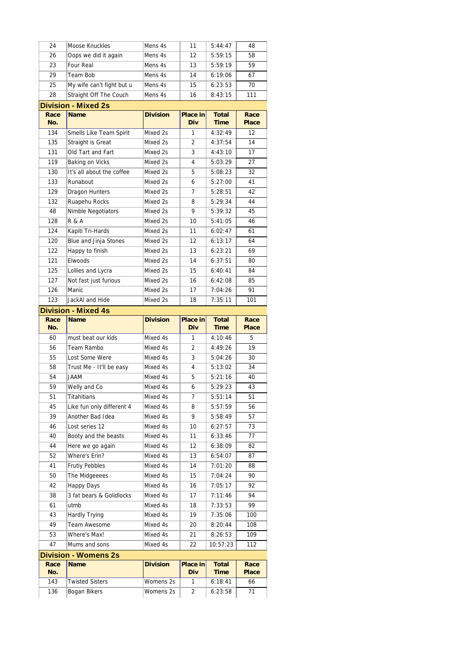| 24          | Moose Knuckles                         | Mens 4s                | 11                | 5:44:47              | 48            |
|-------------|----------------------------------------|------------------------|-------------------|----------------------|---------------|
| 26          | Oops we did it again                   | Mens 4s                | 12                | 5:59:15              | 58            |
| 23          | Four Real                              | Mens 4s                | 13                | 5:59:19              | 59            |
| 29          | Team Bob                               | Mens 4s                | 14                | 6:19:06              | 67            |
| 25          | My wife can't fight but u              | Mens 4s                | 15                | 6:23:53              | 70            |
| 28          | Straight Off The Couch                 | Mens 4s                | 16                | 8:43:15              | 111           |
|             | <b>Division - Mixed 2s</b>             |                        |                   |                      |               |
| Race<br>No. | <b>Name</b>                            | <b>Division</b>        | Place in<br>Div   | Total<br><b>Time</b> | Race<br>Place |
| 134         | Smells Like Team Spirit                | Mixed 2s               | $\mathbf{1}$      | 4:32:49              | 12            |
| 135         | Straight is Great                      | Mixed 2s               | 2                 | 4:37:54              | 14            |
| 131         | Old Tart and Fart                      | Mixed 2s               | 3                 | 4:43:10              | 17            |
| 119         | Baking on Vicks                        | Mixed 2s               | 4                 | 5:03:29              | 27            |
| 130         | It's all about the coffee              | Mixed 2s               | 5                 | 5:08:23              | 32            |
| 133         | Runabout                               | Mixed 2s               | 6                 | 5:27:00              | 41            |
| 129         | <b>Dragon Hunters</b>                  | Mixed 2s               | 7                 | 5:28:51              | 42            |
| 132         | Ruapehu Rocks                          | Mixed 2s               | 8                 | 5:29:34              | 44            |
| 48          | Nimble Negotiators                     | Mixed 2s               | 9                 | 5:39:32              | 45            |
| 128         | R & A                                  | Mixed 2s               | 10                | 5:41:05              | 46            |
| 124         | Kapiti Tri-Hards                       | Mixed 2s               | 11                | 6:02:47              | 61            |
| 120         | Blue and Jinja Stones                  | Mixed 2s               | 12                | 6:13:17              | 64            |
| 122         | Happy to finish                        | Mixed 2s               | 13                | 6:23:21              | 69            |
| 121         | Elwoods                                | Mixed 2s               | 14                | 6:37:51              | 80            |
| 125         | Lollies and Lycra                      | Mixed 2s               | 15                | 6:40:41              | 84            |
| 127         | Not fast just furious                  | Mixed 2s               | 16                | 6:42:08              | 85            |
| 126         | Manic                                  | Mixed 2s               | 17                | 7:04:26              | 91            |
| 123         | JackAI and Hide                        | Mixed 2s               | 18                | 7:35:11              | 101           |
|             | <b>Division - Mixed 4s</b>             |                        |                   |                      |               |
| Race        | <b>Name</b>                            | <b>Division</b>        | Place in          | Total                | Race          |
|             |                                        |                        |                   |                      |               |
| No.         |                                        |                        | Div               | <b>Time</b>          | Place         |
| 60          | must beat our kids                     | Mixed 4s               | $\mathbf{1}$      | 4:10:46              | 5             |
| 56          | Team Rambo                             | Mixed 4s               | 2                 | 4:49:26              | 19            |
| 55          | Lost Some Were                         | Mixed 4s               | 3                 | 5:04:26              | 30            |
| 58          | Trust Me - It'll be easy               | Mixed 4s               | 4                 | 5:13:02              | 34            |
| 54          | MAAU                                   | Mixed 4s               | 5                 | 5:21:16              | 40            |
| 59          | Welly and Co                           | Mixed 4s               | 6                 | 5:29:23              | 43            |
| 51          | Titahitians                            | Mixed 4s               | 7                 | 5:51:14              | 51            |
| 45          | Like fun only different 4              | Mixed 4s               | 8                 | 5:57:59              | 56            |
| 39          | Another Bad Idea                       | Mixed 4s               | 9                 | 5:58:49              | 57            |
| 46          | Lost series 12                         | Mixed 4s               | 10                | 6:27:57              | 73            |
| 40          | Booty and the beasts                   | Mixed 4s               | 11                | 6:33:46              | 77            |
| 44          | Here we go again                       | Mixed 4s               | 12                | 6:38:09              | 82            |
| 52          | Where's Erin?                          | Mixed 4s               | 13                | 6:54:07              | 87            |
| 41          | Frutiy Pebbles                         | Mixed 4s               | 14                | 7:01:20              | 88            |
| 50          | The Midgeeees                          | Mixed 4s               | 15                | 7:04:24              | 90            |
| 42          | Happy Days                             | Mixed 4s               | 16                | 7:05:17              | 92            |
| 38          | 3 fat bears & Golidlocks               | Mixed 4s               | 17                | 7:11:46              | 94            |
| 61          | utmb                                   | Mixed 4s               | 18                | 7:33:53              | 99            |
| 43          | Hardly Trying                          | Mixed 4s               | 19                | 7:35:06              | 100           |
| 49          | Team Awesome                           | Mixed 4s               | 20                | 8:20:44              | 108           |
| 53          | Where's Max!                           | Mixed 4s               | 21                | 8:26:53              | 109           |
| 47          | Mums and sons                          | Mixed 4s               | 22                | 10:57:23             | 112           |
|             | <b>Division - Womens 2s</b>            |                        |                   |                      |               |
| Race        | Name                                   | <b>Division</b>        | Place in          | Total                | Race          |
| No.         |                                        |                        | Div               | <b>Time</b>          | Place         |
| 143<br>136  | <b>Twisted Sisters</b><br>Bogan Bikers | Womens 2s<br>Womens 2s | $\mathbf{1}$<br>2 | 6:18:41<br>6:23:58   | 66<br>71      |